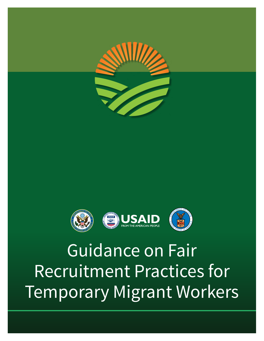



# Guidance on Fair Recruitment Practices for Temporary Migrant Workers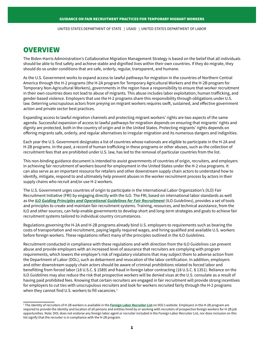UNITED STATES DEPARTMENT OF STATE | USAID | UNITED STATES DEPARTMENT OF LABOR

## **OVERVIEW**

The Biden-Harris Administration's Collaborative Migration Management Strategy is based on the belief that all individuals should be able to find safety and achieve stable and dignified lives within their own countries. If they do migrate, they should do so under conditions that are safe, orderly, regular, transparent, and humane.

As the U.S. Government works to expand access to lawful pathways for migration in the countries of Northern Central America through the H-2 programs (the H-2A program for Temporary Agricultural Workers and the H-2B program for Temporary Non-Agricultural Workers), governments in the region have a responsibility to ensure that worker recruitment in their own countries does not lead to abuse of migrants. This abuse includes labor exploitation, human trafficking, and gender-based violence. Employers that use the H-2 programs share this responsibility through obligations under U.S. law. Deterring unscrupulous actors from preying on migrant workers requires swift, sustained, and effective government action and private sector best practices.

Expanding access to lawful migration channels and protecting migrant workers' rights are two aspects of the same agenda. Successful expansion of access to lawful pathways for migration depends on ensuring that migrants' rights and dignity are protected, both in the country of origin and in the United States. Protecting migrants' rights depends on offering migrants safe, orderly, and regular alternatives to irregular migration and its numerous dangers and indignities.

Each year the U.S. Government designates a list of countries whose nationals are eligible to participate in the H-2A and H-2B programs. In the past, a record of human trafficking in these programs or other abuses, such as the collection of recruitment fees that are prohibited under U.S. law, has led to the removal of particular countries from the list.

This non-binding guidance document is intended to assist governments of countries of origin, recruiters, and employers in achieving fair recruitment of workers bound for employment in the United States under the H-2 visa programs. It can also serve as an important resource for retailers and other downstream supply chain actors to understand how to identify, mitigate, respond to and ultimately help prevent abuses in the worker recruitment process by actors in their supply chains who recruit and/or use H-2 workers.

The U.S. Government urges countries of origin to participate in the International Labor Organization's (ILO) Fair Recruitment Initiative (FRI) by engaging directly with the ILO. The FRI, based on international labor standards as well as the *[ILO Guiding Principles and Operational Guidelines for Fair Recruitment](https://www.ilo.org/wcmsp5/groups/public/---ed_protect/---protrav/---migrant/documents/publication/wcms_536755.pdf)* (ILO *Guidelines*), provides a set of tools and principles to create and maintain fair recruitment systems. Training, resources, and technical assistance, from the ILO and other sources, can help enable governments to develop short and long-term strategies and goals to achieve fair recruitment systems tailored to individual country circumstances.

Regulations governing the H-2A and H-2B programs already bind U.S. employers to requirements such as bearing the costs of transportation and recruitment, paying legally required wages, and hiring qualified and available U.S. workers before foreign workers. These regulations reflect many of the principles outlined in the ILO *Guidelines*.

Recruitment conducted in compliance with these regulations and with direction from the ILO *Guidelines* can prevent abuse and provide employers with an increased level of assurance that recruiters are complying with program requirements, which lowers the employer's risk of regulatory violations that may subject them to adverse action from the Department of Labor (DOL), such as debarment and revocation of the labor certification. In addition, employers and other downstream supply chain actors should be aware of criminal prohibitions related to forced labor and benefitting from forced labor (18 U.S.C. § 1589) and fraud in foreign labor contracting (18 U.S.C. § 1351). Reliance on the ILO *Guidelines* may also reduce the risk that prospective workers will be denied visas at the U.S. consulate as a result of having paid prohibited fees. Knowing that certain recruiters are engaged in fair recruitment will provide strong incentives for employers to cut ties with unscrupulous recruiters and look for workers recruited fairly through the H-2 programs when they cannot find U.S. workers to fill vacancies.<sup>1</sup>

<sup>1</sup> The identity of recruiters of H-2B workers is available in the **[Foreign Labor Recruiter List](https://www.dol.gov/agencies/eta/foreign-labor/recruiter-list)** on DOL's website. Employers in the H-2B program are required to provide the identity and location of all persons and entities hired by or working with recruiters of prospective foreign workers for H-2B job opportunities. Note: DOL does not endorse any foreign labor agent or recruiter included in the Foreign Labor Recruiter List, nor does inclusion on this list signify that the recruiter is in compliance with the H-2B program.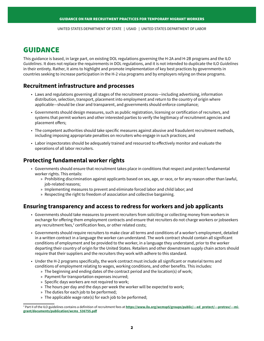UNITED STATES DEPARTMENT OF STATE | USAID | UNITED STATES DEPARTMENT OF LABOR

# GUIDANCE

This guidance is based, in large part, on existing DOL regulations governing the H-2A and H-2B programs and the ILO *Guidelines*. It does not replace the requirements in DOL regulations, and it is not intended to duplicate the ILO *Guidelines* in their entirety. Rather, it aims to highlight and promote implementation of key best practices by governments in countries seeking to increase participation in the H-2 visa programs and by employers relying on these programs.

#### **Recruitment infrastructure and processes**

- Laws and regulations governing all stages of the recruitment process—including advertising, information distribution, selection, transport, placement into employment and return to the country of origin where applicable—should be clear and transparent, and governments should enforce compliance;
- Governments should design measures, such as public registration, licensing or certification of recruiters, and systems that permit workers and other interested parties to verify the legitimacy of recruitment agencies and placement offers;
- The competent authorities should take specific measures against abusive and fraudulent recruitment methods, including imposing appropriate penalties on recruiters who engage in such practices; and
- Labor inspectorates should be adequately trained and resourced to effectively monitor and evaluate the operations of all labor recruiters.

### **Protecting fundamental worker rights**

- Governments should ensure that recruitment takes place in conditions that respect and protect fundamental worker rights. This entails:
	- » Prohibiting discrimination against applicants based on sex, age, or race, or for any reason other than lawful, job-related reasons;
	- » Implementing measures to prevent and eliminate forced labor and child labor; and
	- » Respecting the right to freedom of association and collective bargaining.

#### **Ensuring transparency and access to redress for workers and job applicants**

- Governments should take measures to prevent recruiters from soliciting or collecting money from workers in exchange for offering them employment contracts and ensure that recruiters do not charge workers or jobseekers any recruitment fees, $2$  certification fees, or other related costs;
- Governments should require recruiters to make clear all terms and conditions of a worker's employment, detailed in a written contract in a language the worker can understand. The work contract should contain all significant conditions of employment and be provided to the worker, in a language they understand, prior to the worker departing their country of origin for the United States. Retailers and other downstream supply chain actors should require that their suppliers and the recruiters they work with adhere to this standard.
- Under the H-2 programs specifically, the work contract must include all significant or material terms and conditions of employment relating to wages, working conditions, and other benefits. This includes:
	- » The beginning and ending dates of the contract period and the location(s) of work;
	- » Payment for transportation expenses incurred;
	- » Specific days workers are not required to work;
	- » The hours per day and the days per week the worker will be expected to work;
	- » The duties for each job to be performed;
	- » The applicable wage rate(s) for each job to be performed;

<sup>2</sup> Part II of the ILO guidelines contains a definition of recruitment fees at **[https://www.ilo.org/wcmsp5/groups/public/---ed\\_protect/---protrav/---mi](https://www.ilo.org/wcmsp5/groups/public/---ed_protect/---protrav/---migrant/documents/publication/wcms_536755.pdf)[grant/documents/publication/wcms\\_536755.pdf](https://www.ilo.org/wcmsp5/groups/public/---ed_protect/---protrav/---migrant/documents/publication/wcms_536755.pdf)**